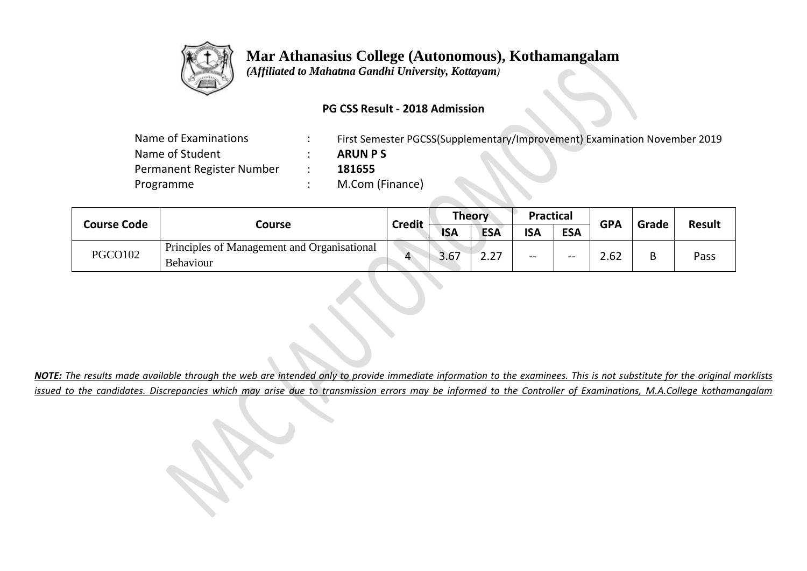

## **Mar Athanasius College (Autonomous), Kothamangalam**

 *(Affiliated to Mahatma Gandhi University, Kottayam)*

#### **PG CSS Result - 2018 Admission**

| Name of Examinations      | First Semester PGCSS(Supplementary/Improvement) Examination November 2019 |
|---------------------------|---------------------------------------------------------------------------|
| Name of Student           | <b>ARUN PS</b>                                                            |
| Permanent Register Number | 181655                                                                    |
| Programme                 | M.Com (Finance)                                                           |
|                           |                                                                           |

| <b>Course Code</b> |                                                          | <b>Credit</b> | <b>Theory</b> |            | <b>Practical</b> |            | <b>GPA</b> |       |               |
|--------------------|----------------------------------------------------------|---------------|---------------|------------|------------------|------------|------------|-------|---------------|
|                    | Course                                                   |               | <b>ISA</b>    | <b>ESA</b> | <b>ISA</b>       | <b>ESA</b> |            | Grade | <b>Result</b> |
| <b>PGCO102</b>     | Principles of Management and Organisational<br>Behaviour | $\mathbf{A}$  | 3.67          | דר<br>L.L. | --               | $- -$      | 2.62       | В     | Pass          |

*NOTE: The results made available through the web are intended only to provide immediate information to the examinees. This is not substitute for the original marklists issued to the candidates. Discrepancies which may arise due to transmission errors may be informed to the Controller of Examinations, M.A.College kothamangalam*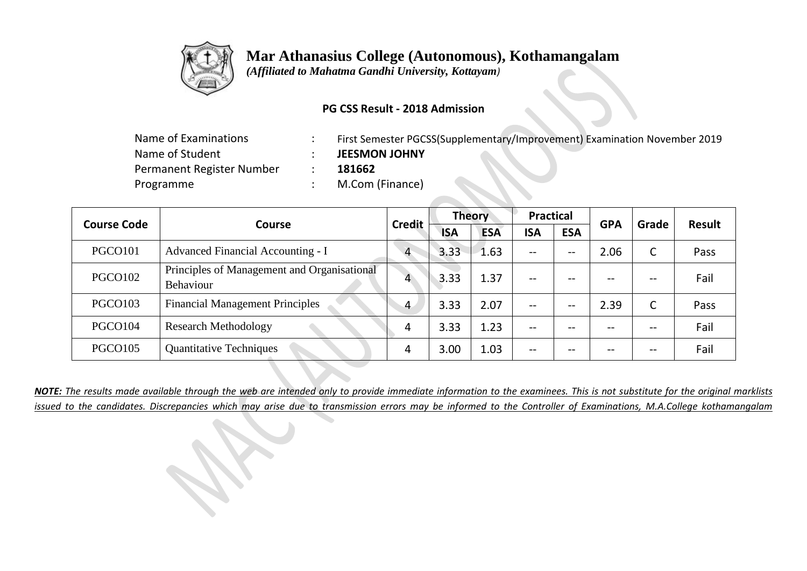

# **Mar Athanasius College (Autonomous), Kothamangalam**

 *(Affiliated to Mahatma Gandhi University, Kottayam)*

#### **PG CSS Result - 2018 Admission**

| Name of Examinations      | First Semester PGCSS(Supplementary/Improvement) Examination November 2019 |
|---------------------------|---------------------------------------------------------------------------|
| Name of Student           | <b>JEESMON JOHNY</b>                                                      |
| Permanent Register Number | 181662                                                                    |
| Programme                 | M.Com (Finance)                                                           |

| <b>Course Code</b>  |                                                          | <b>Credit</b>  | <b>Theory</b> |            | <b>Practical</b> |            | <b>GPA</b> | Grade | <b>Result</b> |
|---------------------|----------------------------------------------------------|----------------|---------------|------------|------------------|------------|------------|-------|---------------|
|                     | <b>Course</b>                                            |                | <b>ISA</b>    | <b>ESA</b> | <b>ISA</b>       | <b>ESA</b> |            |       |               |
| PGCO <sub>101</sub> | Advanced Financial Accounting - I                        |                | 3.33          | 1.63       | --               | --         | 2.06       | C     | Pass          |
| PGCO <sub>102</sub> | Principles of Management and Organisational<br>Behaviour |                | 3.33          | 1.37       | --               | --         | --         | --    | Fail          |
| PGCO103             | <b>Financial Management Principles</b>                   | $\overline{4}$ | 3.33          | 2.07       | --               | --         | 2.39       | C     | Pass          |
| PGCO104             | <b>Research Methodology</b>                              | 4              | 3.33          | 1.23       | --               | --         |            | --    | Fail          |
| PGCO <sub>105</sub> | <b>Quantitative Techniques</b>                           | 4              | 3.00          | 1.03       | --               | $- -$      | --         | --    | Fail          |

*NOTE: The results made available through the web are intended only to provide immediate information to the examinees. This is not substitute for the original marklists issued to the candidates. Discrepancies which may arise due to transmission errors may be informed to the Controller of Examinations, M.A.College kothamangalam*